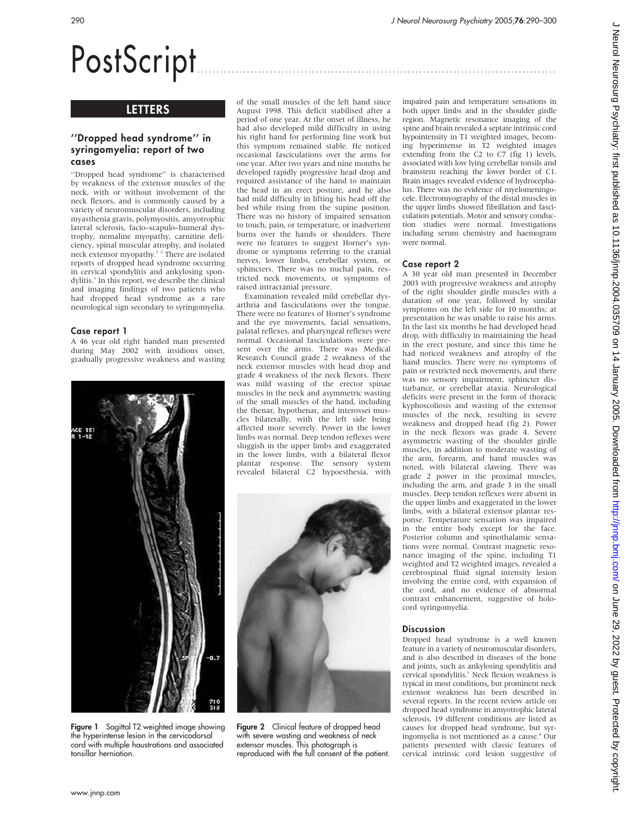# PostScript ..............................................................................................

# **LETTERS**

# ''Dropped head syndrome'' in syringomyelia: report of two cases

''Dropped head syndrome'' is characterised by weakness of the extensor muscles of the neck, with or without involvement of the neck flexors, and is commonly caused by a variety of neuromuscular disorders, including myasthenia gravis, polymyositis, amyotrophic lateral sclerosis, facio–scapulo–humeral dystrophy, nemaline myopathy, carnitine deficiency, spinal muscular atrophy, and isolated neck extensor myopathy.<sup>1</sup> <sup>2</sup> There are isolated reports of dropped head syndrome occurring in cervical spondylitis and ankylosing spondylitis.<sup>3</sup> In this report, we describe the clinical and imaging findings of two patients who had dropped head syndrome as a rare neurological sign secondary to syringomyelia.

## Case report 1

A 46 year old right handed man presented during May 2002 with insidious onset, gradually progressive weakness and wasting



Figure 1 Sagittal T2 weighted image showing the hyperintense lesion in the cervicodorsal cord with multiple haustrations and associated tonsillar herniation.

of the small muscles of the left hand since August 1998. This deficit stabilised after a period of one year. At the onset of illness, he had also developed mild difficulty in using his right hand for performing fine work but this symptom remained stable. He noticed occasional fasciculations over the arms for one year. After two years and nine months he developed rapidly progressive head drop and required assistance of the hand to maintain the head in an erect posture, and he also had mild difficulty in lifting his head off the bed while rising from the supine position. There was no history of impaired sensation to touch, pain, or temperature, or inadvertent burns over the hands or shoulders. There were no features to suggest Horner's syndrome or symptoms referring to the cranial nerves, lower limbs, cerebellar system, or sphincters. There was no nuchal pain, restricted neck movements, or symptoms of raised intracranial pressure.

Examination revealed mild cerebellar dysarthria and fasciculations over the tongue. There were no features of Horner's syndrome and the eye movements, facial sensations, palatal reflexes, and pharyngeal reflexes were normal. Occasional fasciculations were present over the arms. There was Medical Research Council grade 2 weakness of the neck extensor muscles with head drop and grade 4 weakness of the neck flexors. There was mild wasting of the erector spinae muscles in the neck and asymmetric wasting of the small muscles of the hand, including the thenar, hypothenar, and interossei muscles bilaterally, with the left side being affected more severely. Power in the lower limbs was normal. Deep tendon reflexes were sluggish in the upper limbs and exaggerated in the lower limbs, with a bilateral flexor plantar response. The sensory system revealed bilateral C2 hypoesthesia, with



Figure 2 Clinical feature of dropped head with severe wasting and weakness of neck extensor muscles. This photograph is reproduced with the full consent of the patient.

impaired pain and temperature sensations in both upper limbs and in the shoulder girdle region. Magnetic resonance imaging of the spine and brain revealed a septate intrinsic cord hypointensity in T1 weighted images, becoming hyperintense in T2 weighted images extending from the C2 to C7 (fig 1) levels, associated with low lying cerebellar tonsils and brainstem reaching the lower border of C1. Brain images revealed evidence of hydrocephalus. There was no evidence of myelomeningocele. Electromyography of the distal muscles in the upper limbs showed fibrillation and fasciculation potentials. Motor and sensory conduction studies were normal. Investigations including serum chemistry and haemogram were normal.

## Case report 2

A 30 year old man presented in December 2003 with progressive weakness and atrophy of the right shoulder girdle muscles with a duration of one year, followed by similar symptoms on the left side for 10 months; at presentation he was unable to raise his arms. In the last six months he had developed head drop, with difficulty in maintaining the head in the erect posture, and since this time he had noticed weakness and atrophy of the hand muscles. There were no symptoms of pain or restricted neck movements, and there was no sensory impairment, sphincter disturbance, or cerebellar ataxia. Neurological deficits were present in the form of thoracic kyphoscoliosis and wasting of the extensor muscles of the neck, resulting in severe weakness and dropped head (fig 2). Power in the neck flexors was grade 4. Severe asymmetric wasting of the shoulder girdle muscles, in addition to moderate wasting of the arm, forearm, and hand muscles was noted, with bilateral clawing. There was grade 2 power in the proximal muscles, including the arm, and grade 3 in the small muscles. Deep tendon reflexes were absent in the upper limbs and exaggerated in the lower limbs, with a bilateral extensor plantar response. Temperature sensation was impaired in the entire body except for the face. Posterior column and spinothalamic sensations were normal. Contrast magnetic resonance imaging of the spine, including T1 weighted and T2 weighted images, revealed a cerebrospinal fluid signal intensity lesion involving the entire cord, with expansion of the cord, and no evidence of abnormal contrast enhancement, suggestive of holocord syringomyelia.

#### **Discussion**

Dropped head syndrome is a well known feature in a variety of neuromuscular disorders, and is also described in diseases of the bone and joints, such as ankylosing spondylitis and cervical spondylitis.<sup>3</sup> Neck flexion weakness is typical in most conditions, but prominent neck extensor weakness has been described in several reports. In the recent review article on dropped head syndrome in amyotrophic lateral sclerosis, 19 different conditions are listed as causes for dropped head syndrome, but syringomyelia is not mentioned as a cause.4 Our patients presented with classic features of cervical intrinsic cord lesion suggestive of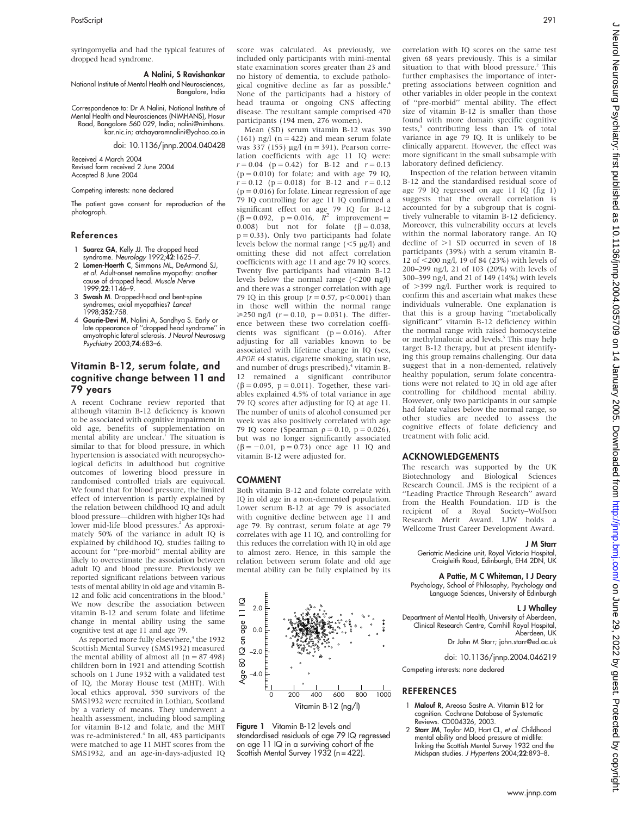syringomyelia and had the typical features of dropped head syndrome.

### A Nalini, S Ravishankar

National Institute of Mental Health and Neurosciences, Bangalore, India

Correspondence to: Dr A Nalini, National Institute of Mental Health and Neurosciences (NIMHANS), Hosur Road, Bangalore 560 029, India; nalini@nimhans. kar.nic.in; atchayaramnalini@yahoo.co.in

doi: 10.1136/jnnp.2004.040428

Received 4 March 2004 Revised form received 2 June 2004 Accepted 8 June 2004

#### Competing interests: none declared

The patient gave consent for reproduction of the photograph.

#### References

- 1 Suarez GA, Kelly JJ. The dropped head syndrome. Neurology 1992;42:1625-7.
- 2 Lomen-Hoerth C, Simmons ML, DeArmond SJ, et al. Adult-onset nemaline myopathy: another cause of dropped head. Muscle Nerve 1999;22:1146–9.
- 3 Swash M. Dropped-head and bent-spine syndromes; axial myopathies? Lancet 1998;352:758.
- 4 Gourie-Devi M, Nalini A, Sandhya S. Early or late appearance of ''dropped head syndrome'' in amyotrophic lateral sclerosis. J Neurol Neurosurg Psychiatry 2003;74:683–6.

# Vitamin B-12, serum folate, and cognitive change between 11 and 79 years

A recent Cochrane review reported that although vitamin B-12 deficiency is known to be associated with cognitive impairment in old age, benefits of supplementation on mental ability are unclear.<sup>1</sup> The situation is similar to that for blood pressure, in which hypertension is associated with neuropsychological deficits in adulthood but cognitive outcomes of lowering blood pressure in randomised controlled trials are equivocal. We found that for blood pressure, the limited effect of intervention is partly explained by the relation between childhood IQ and adult blood pressure—children with higher IQs had lower mid-life blood pressures.<sup>2</sup> As approximately 50% of the variance in adult IQ is explained by childhood IQ, studies failing to account for ''pre-morbid'' mental ability are likely to overestimate the association between adult IQ and blood pressure. Previously we reported significant relations between various tests of mental ability in old age and vitamin B-12 and folic acid concentrations in the blood.<sup>3</sup> We now describe the association between vitamin B-12 and serum folate and lifetime change in mental ability using the same cognitive test at age 11 and age 79.

As reported more fully elsewhere,<sup>4</sup> the 1932 Scottish Mental Survey (SMS1932) measured the mental ability of almost all  $(n = 87 498)$ children born in 1921 and attending Scottish schools on 1 June 1932 with a validated test of IQ, the Moray House test (MHT). With local ethics approval, 550 survivors of the SMS1932 were recruited in Lothian, Scotland by a variety of means. They underwent a health assessment, including blood sampling for vitamin B-12 and folate, and the MHT was re-administered.<sup>4</sup> In all, 483 participants were matched to age 11 MHT scores from the SMS1932, and an age-in-days-adjusted IQ score was calculated. As previously, we included only participants with mini-mental state examination scores greater than 23 and no history of dementia, to exclude pathological cognitive decline as far as possible.<sup>4</sup> None of the participants had a history of head trauma or ongoing CNS affecting disease. The resultant sample comprised 470 participants (194 men, 276 women).

Mean (SD) serum vitamin B-12 was 390 (161) ng/l ( $n = 422$ ) and mean serum folate was 337 (155)  $\mu$ g/l (n = 391). Pearson correlation coefficients with age 11 IQ were:  $r = 0.04$  (p = 0.42) for B-12 and  $r = 0.13$  $(p = 0.010)$  for folate; and with age 79 IQ,  $r = 0.12$  (p = 0.018) for B-12 and  $r = 0.12$  $(p = 0.016)$  for folate. Linear regression of age 79 IQ controlling for age 11 IQ confirmed a significant effect on age 79 IQ for B-12<br>  $(\beta = 0.092, p = 0.016, R^2$  improvement = 0.008) but not for folate  $(\beta = 0.038$ ,  $p = 0.33$ ). Only two participants had folate levels below the normal range  $(<5 \mu g/l)$  and omitting these did not affect correlation coefficients with age 11 and age 79 IQ scores. Twenty five participants had vitamin B-12 levels below the normal range  $( $200 \text{ ng/l}$ )$ and there was a stronger correlation with age 79 IQ in this group  $(r = 0.57, p < 0.001)$  than in those well within the normal range  $\geq 250$  ng/l ( $r = 0.10$ ,  $p = 0.031$ ). The difference between these two correlation coefficients was significant (p = 0.016). After adjusting for all variables known to be associated with lifetime change in IQ (sex, APOE  $\epsilon$ 4 status, cigarette smoking, statin use,<br>and number of drugs prescribed),<sup>4</sup> vitamin B-12 remained a significant contributor  $(\beta = 0.095, p = 0.011)$ . Together, these variables explained 4.5% of total variance in age 79 IQ scores after adjusting for IQ at age 11. The number of units of alcohol consumed per week was also positively correlated with age 79 IQ score (Spearman  $\rho = 0.10$ ,  $p = 0.026$ ), but was no longer significantly associated  $(\beta = -0.01, p = 0.73)$  once age 11 IQ and vitamin B-12 were adjusted for.

#### COMMENT

Both vitamin B-12 and folate correlate with IQ in old age in a non-demented population. Lower serum B-12 at age 79 is associated with cognitive decline between age 11 and age 79. By contrast, serum folate at age 79 correlates with age 11 IQ, and controlling for this reduces the correlation with IQ in old age to almost zero. Hence, in this sample the relation between serum folate and old age mental ability can be fully explained by its



Figure 1 Vitamin B-12 levels and standardised residuals of age 79 IQ regressed on age 11 IQ in a surviving cohort of the Scottish Mental Survey 1932 (n = 422).

correlation with IQ scores on the same test given 68 years previously. This is a similar situation to that with blood pressure.<sup>2</sup> This further emphasises the importance of interpreting associations between cognition and other variables in older people in the context of ''pre-morbid'' mental ability. The effect size of vitamin B-12 is smaller than those found with more domain specific cognitive tests,<sup>3</sup> contributing less than 1% of total variance in age 79 IQ. It is unlikely to be clinically apparent. However, the effect was more significant in the small subsample with laboratory defined deficiency.

Inspection of the relation between vitamin B-12 and the standardised residual score of age 79 IQ regressed on age 11 IQ (fig 1) suggests that the overall correlation is accounted for by a subgroup that is cognitively vulnerable to vitamin B-12 deficiency. Moreover, this vulnerability occurs at levels within the normal laboratory range. An IQ decline of  $>1$  SD occurred in seven of 18 participants (39%) with a serum vitamin B-12 of <200 ng/l, 19 of 84 (23%) with levels of 200–299 ng/l, 21 of 103 (20%) with levels of 300–399 ng/l, and 21 of 149 (14%) with levels of  $>399$  ng/l. Further work is required to confirm this and ascertain what makes these individuals vulnerable. One explanation is that this is a group having ''metabolically significant'' vitamin B-12 deficiency within the normal range with raised homocysteine or methylmalonic acid levels.<sup>5</sup> This may help target B-12 therapy, but at present identifying this group remains challenging. Our data suggest that in a non-demented, relatively healthy population, serum folate concentrations were not related to IQ in old age after controlling for childhood mental ability. However, only two participants in our sample had folate values below the normal range, so other studies are needed to assess the cognitive effects of folate deficiency and treatment with folic acid.

# ACKNOWLEDGEMENTS

The research was supported by the UK Biotechnology and Biological Sciences Research Council. JMS is the recipient of a "Leading Practice Through Research" award from the Health Foundation. IJD is the recipient of a Royal Society–Wolfson Research Merit Award. LJW holds a Wellcome Trust Career Development Award.

# J M Starr

Geriatric Medicine unit, Royal Victoria Hospital, Craigleith Road, Edinburgh, EH4 2DN, UK

## A Pattie, M C Whiteman, I J Deary

Psychology, School of Philosophy, Psychology and Language Sciences, University of Edinburgh

# L J Whalley

Department of Mental Health, University of Aberdeen, Clinical Research Centre, Cornhill Royal Hospital, Aberdeen, UK Dr John M Starr; john.starr@ed.ac.uk

doi: 10.1136/jnnp.2004.046219

Competing interests: none declared

## **REFERENCES**

- 1 Malouf R, Areosa Sastre A. Vitamin B12 for cognition. Cochrane Database of Systematic Reviews. CD004326, 2003.
- 2 Starr JM, Taylor MD, Hart CL, et al. Childhood mental ability and blood pressure at midlife: linking the Scottish Mental Survey 1932 and the Midspan studies. J Hypertens 2004;22:893-8.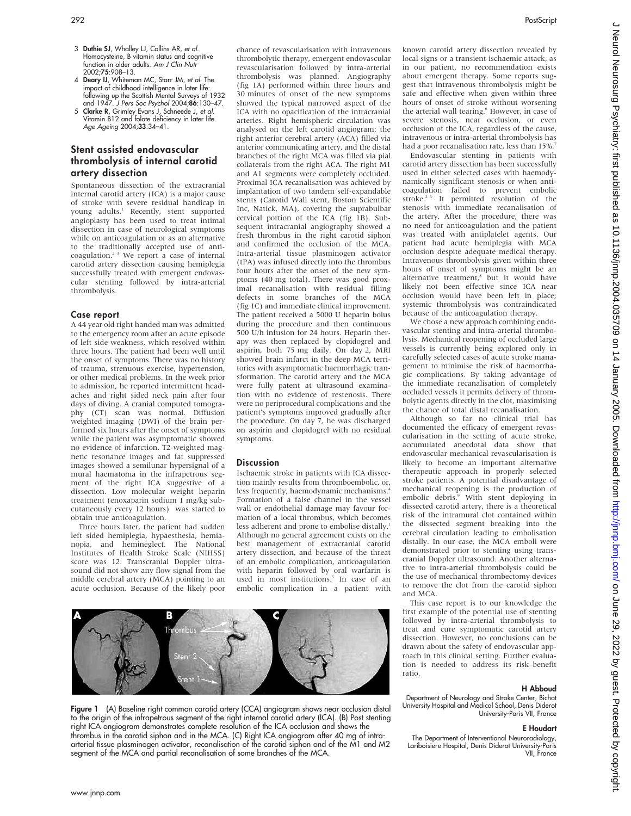- 3 Duthie SJ, Whalley LJ, Collins AR, et al. Homocysteine, B vitamin status and cognitive function in older adults. Am J Clin Nuti 2002;75:908–13.
- 4 **Deary IJ**, Whiteman MC, Starr JM, *et al.* The<br>impact of childhood intelligence in later life:<br>following up the Scottish Mental Surveys of 1932<br>and 1947. *J Pers Soc Psychol* 2004;**86**:130–47.
- 5 Clarke R, Grimley Evans J, Schneede J, et al. Vitamin B12 and folate deficiency in later life. Age Ageing 2004;33:34-41.

# Stent assisted endovascular thrombolysis of internal carotid artery dissection

Spontaneous dissection of the extracranial internal carotid artery (ICA) is a major cause of stroke with severe residual handicap in young adults.<sup>1</sup> Recently, stent supported angioplasty has been used to treat intimal dissection in case of neurological symptoms while on anticoagulation or as an alternative to the traditionally accepted use of anticoagulation.<sup>23</sup> We report a case of internal carotid artery dissection causing hemiplegia successfully treated with emergent endovascular stenting followed by intra-arterial thrombolysis.

#### Case report

A 44 year old right handed man was admitted to the emergency room after an acute episode of left side weakness, which resolved within three hours. The patient had been well until the onset of symptoms. There was no history of trauma, strenuous exercise, hypertension, or other medical problems. In the week prior to admission, he reported intermittent headaches and right sided neck pain after four days of diving. A cranial computed tomography (CT) scan was normal. Diffusion weighted imaging (DWI) of the brain performed six hours after the onset of symptoms while the patient was asymptomatic showed no evidence of infarction. T2-weighted magnetic resonance images and fat suppressed images showed a semilunar hypersignal of a mural haematoma in the infrapetrous segment of the right ICA suggestive of a dissection. Low molecular weight heparin treatment (enoxaparin sodium 1 mg/kg subcutaneously every 12 hours) was started to obtain true anticoagulation.

Three hours later, the patient had sudden left sided hemiplegia, hypaesthesia, hemianopia, and hemineglect. The National Institutes of Health Stroke Scale (NIHSS) score was 12. Transcranial Doppler ultrasound did not show any flow signal from the middle cerebral artery (MCA) pointing to an acute occlusion. Because of the likely poor chance of revascularisation with intravenous thrombolytic therapy, emergent endovascular revascularisation followed by intra-arterial thrombolysis was planned. Angiography (fig 1A) performed within three hours and 30 minutes of onset of the new symptoms showed the typical narrowed aspect of the ICA with no opacification of the intracranial arteries. Right hemispheric circulation was analysed on the left carotid angiogram: the right anterior cerebral artery (ACA) filled via anterior communicating artery, and the distal branches of the right MCA was filled via pial collaterals from the right ACA. The right M1 and A1 segments were completely occluded. Proximal ICA recanalisation was achieved by implantation of two tandem self-expandable stents (Carotid Wall stent, Boston Scientific Inc, Natick, MA), covering the suprabulbar cervical portion of the ICA (fig 1B). Subsequent intracranial angiography showed a fresh thrombus in the right carotid siphon and confirmed the occlusion of the MCA. Intra-arterial tissue plasminogen activator (tPA) was infused directly into the thrombus four hours after the onset of the new symptoms (40 mg total). There was good proximal recanalisation with residual filling defects in some branches of the MCA (fig 1C) and immediate clinical improvement. The patient received a 5000 U heparin bolus during the procedure and then continuous 500 U/h infusion for 24 hours. Heparin therapy was then replaced by clopidogrel and aspirin, both 75 mg daily. On day 2, MRI showed brain infarct in the deep MCA territories with asymptomatic haemorrhagic transformation. The carotid artery and the MCA were fully patent at ultrasound examination with no evidence of restenosis. There were no periprocedural complications and the patient's symptoms improved gradually after the procedure. On day 7, he was discharged on aspirin and clopidogrel with no residual symptoms.

#### **Discussion**

Ischaemic stroke in patients with ICA dissection mainly results from thromboembolic, or, less frequently, haemodynamic mechanisms.<sup>4</sup> Formation of a false channel in the vessel wall or endothelial damage may favour formation of a local thrombus, which becomes less adherent and prone to embolise distally.<sup>1</sup> Although no general agreement exists on the best management of extracranial carotid artery dissection, and because of the threat of an embolic complication, anticoagulation with heparin followed by oral warfarin is used in most institutions.<sup>5</sup> In case of an embolic complication in a patient with



Figure 1 (A) Baseline right common carotid artery (CCA) angiogram shows near occlusion distal to the origin of the infrapetrous segment of the right internal carotid artery (ICA). (B) Post stenting right ICA angiogram demonstrates complete resolution of the ICA occlusion and shows the thrombus in the carotid siphon and in the MCA. (C) Right ICA angiogram after 40 mg of intraarterial tissue plasminogen activator, recanalisation of the carotid siphon and of the M1 and M2 segment of the MCA and partial recanalisation of some branches of the MCA.

known carotid artery dissection revealed by local signs or a transient ischaemic attack, as in our patient, no recommendation exists about emergent therapy. Some reports suggest that intravenous thrombolysis might be safe and effective when given within three hours of onset of stroke without worsening the arterial wall tearing.<sup>6</sup> However, in case of severe stenosis, near occlusion, or even occlusion of the ICA, regardless of the cause, intravenous or intra-arterial thrombolysis has had a poor recanalisation rate, less than 15%.

Endovascular stenting in patients with carotid artery dissection has been successfully used in either selected cases with haemodynamically significant stenosis or when anticoagulation failed to prevent embolic stroke.<sup>2 3</sup> It permitted resolution of the stenosis with immediate recanalisation of the artery. After the procedure, there was no need for anticoagulation and the patient was treated with antiplatelet agents. Our patient had acute hemiplegia with MCA occlusion despite adequate medical therapy. Intravenous thrombolysis given within three hours of onset of symptoms might be an alternative treatment,<sup>8</sup> but it would have likely not been effective since ICA near occlusion would have been left in place; systemic thrombolysis was contraindicated because of the anticoagulation therapy.

We chose a new approach combining endovascular stenting and intra-arterial thrombolysis. Mechanical reopening of occluded large vessels is currently being explored only in carefully selected cases of acute stroke management to minimise the risk of haemorrhagic complications. By taking advantage of the immediate recanalisation of completely occluded vessels it permits delivery of thrombolytic agents directly in the clot, maximising the chance of total distal recanalisation.

Although so far no clinical trial has documented the efficacy of emergent revascularisation in the setting of acute stroke, accumulated anecdotal data show that endovascular mechanical revascularisation is likely to become an important alternative therapeutic approach in properly selected stroke patients. A potential disadvantage of mechanical reopening is the production of embolic debris.<sup>9</sup> With stent deploying in dissected carotid artery, there is a theoretical risk of the intramural clot contained within the dissected segment breaking into the cerebral circulation leading to embolisation distally. In our case, the MCA emboli were demonstrated prior to stenting using transcranial Doppler ultrasound. Another alternative to intra-arterial thrombolysis could be the use of mechanical thrombectomy devices to remove the clot from the carotid siphon and MCA.

This case report is to our knowledge the first example of the potential use of stenting followed by intra-arterial thrombolysis to treat and cure symptomatic carotid artery dissection. However, no conclusions can be drawn about the safety of endovascular approach in this clinical setting. Further evaluation is needed to address its risk–benefit ratio.

#### H Abboud

Department of Neurology and Stroke Center, Bichat University Hospital and Medical School, Denis Diderot University-Paris VII, France

# E Houdart

The Department of Interventional Neuroradiology, Lariboisiere Hospital, Denis Diderot University-Paris VII, France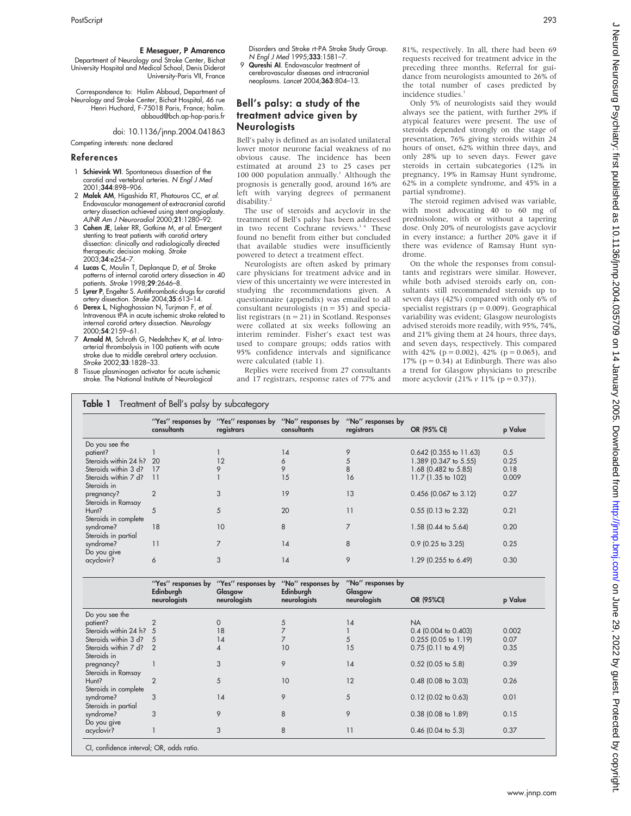## E Meseguer, P Amarenco

Department of Neurology and Stroke Center, Bichat University Hospital and Medical School, Denis Diderot University-Paris VII, France

Correspondence to: Halim Abboud, Department of Neurology and Stroke Center, Bichat Hospital, 46 rue Henri Huchard, F-75018 Paris, France; halim. abboud@bch.ap-hop-paris.fr

doi: 10.1136/jnnp.2004.041863

Competing interests: none declared

#### References

- 1 Schievink WI. Spontaneous dissection of the carotid and vertebral arteries. N Engl J Med 2001;344:898–906.
- 2 Malek AM, Higashida RT, Phatouros CC, et al. Endovascular management of extracranial carotid artery dissection achieved using stent angioplasty. AJNR Am J Neuroradiol 2000;21:1280–92.
- 3 Cohen JE, Leker RR, Gotkine M, et al. Emergent stenting to treat patients with carotid artery dissection: clinically and radiologically directed therapeutic decision making. Stroke 2003;34:e254-7
- 4 Lucas C, Moulin T, Deplanque D, et al. Stroke patterns of internal carotid artery dissection in 40 patients. Stroke 1998;29:2646–8.
- 5 Lyrer P, Engelter S. Antithrombotic drugs for carotid artery dissection. Stroke 2004;35:613–14.
- 6 Derex L, Nighoghossian N, Turjman F, et al. Intravenous tPA in acute ischemic stroke related to internal carotid artery dissection. Neurology 2000;54:2159–61.
- 7 Arnold M, Schroth G, Nedeltchev K, et al. Intraarterial thrombolysis in 100 patients with acute stroke due to middle cerebral artery occlusion. Stroke 2002;33:1828–33.
- 8 Tissue plasminogen activator for acute ischemic stroke. The National Institute of Neurological

Disorders and Stroke rt-PA Stroke Study Group. N Engl J Med 1995;333:1581–7.

9 Qureshi AI. Endovascular treatment of cerebrovascular diseases and intracranial neoplasms. Lancet 2004;363:804–13.

# Bell's palsy: a study of the treatment advice given by Neurologists

Bell's palsy is defined as an isolated unilateral lower motor neurone facial weakness of no obvious cause. The incidence has been estimated at around 23 to 25 cases per 100 000 population annually.<sup>1</sup> Although the prognosis is generally good, around 16% are left with varying degrees of permanent disability.<sup>2</sup>

The use of steroids and acyclovir in the treatment of Bell's palsy has been addressed in two recent Cochrane reviews.<sup>34</sup> These found no benefit from either but concluded that available studies were insufficiently powered to detect a treatment effect.

Neurologists are often asked by primary care physicians for treatment advice and in view of this uncertainty we were interested in studying the recommendations given. A questionnaire (appendix) was emailed to all consultant neurologists  $(n = 35)$  and specialist registrars ( $n = 21$ ) in Scotland. Responses were collated at six weeks following an interim reminder. Fisher's exact test was used to compare groups; odds ratios with 95% confidence intervals and significance were calculated (table 1).

Replies were received from 27 consultants and 17 registrars, response rates of 77% and

81%, respectively. In all, there had been 69 requests received for treatment advice in the preceding three months. Referral for guidance from neurologists amounted to 26% of the total number of cases predicted by incidence studies.

Only 5% of neurologists said they would always see the patient, with further 29% if atypical features were present. The use of steroids depended strongly on the stage of presentation, 76% giving steroids within 24 hours of onset, 62% within three days, and only 28% up to seven days. Fewer gave steroids in certain subcategories (12% in pregnancy, 19% in Ramsay Hunt syndrome, 62% in a complete syndrome, and 45% in a partial syndrome).

The steroid regimen advised was variable, with most advocating 40 to 60 mg of prednisolone, with or without a tapering dose. Only 20% of neurologists gave acyclovir in every instance; a further 20% gave it if there was evidence of Ramsay Hunt syndrome.

On the whole the responses from consultants and registrars were similar. However, while both advised steroids early on, consultants still recommended steroids up to seven days (42%) compared with only 6% of specialist registrars ( $p = 0.009$ ). Geographical variability was evident; Glasgow neurologists advised steroids more readily, with 95%, 74%, and 21% giving them at 24 hours, three days, and seven days, respectively. This compared with 42% ( $p = 0.002$ ), 42% ( $p = 0.065$ ), and 17% ( $p = 0.34$ ) at Edinburgh. There was also a trend for Glasgow physicians to prescribe more acyclovir  $(21\% \nu 11\% (p = 0.37))$ .

## **Table 1** Treatment of Bell's palsy by subcategory

|                       | consultants    | "Yes" responses by "Yes" responses by "No" responses by<br>registrars | consultants | "No" responses by<br>registrars | OR (95% CI)              | p Value |
|-----------------------|----------------|-----------------------------------------------------------------------|-------------|---------------------------------|--------------------------|---------|
| Do you see the        |                |                                                                       |             |                                 |                          |         |
| patient?              |                |                                                                       | 14          |                                 | $0.642$ (0.355 to 11.63) | 0.5     |
| Steroids within 24 h? | -20            | 12                                                                    | 6           |                                 | 1.389 (0.347 to 5.55)    | 0.25    |
| Steroids within 3 d?  | 17             | 9                                                                     | 9           | 8                               | 1.68 (0.482 to 5.85)     | 0.18    |
| Steroids within 7 d?  | 11             |                                                                       | 15          | 16                              | 11.7 (1.35 to 102)       | 0.009   |
| Steroids in           |                |                                                                       |             |                                 |                          |         |
| pregnancy?            | $\overline{2}$ | 3                                                                     | 19          | 13                              | $0.456$ (0.067 to 3.12)  | 0.27    |
| Steroids in Ramsay    |                |                                                                       |             |                                 |                          |         |
| Hunt?                 | 5              | 5                                                                     | 20          | 11                              | $0.55$ (0.13 to 2.32)    | 0.21    |
| Steroids in complete  |                |                                                                       |             |                                 |                          |         |
| syndrome?             | 18             | 10                                                                    | 8           |                                 | 1.58 (0.44 to 5.64)      | 0.20    |
| Steroids in partial   |                |                                                                       |             |                                 |                          |         |
| syndrome?             | 11             | 7                                                                     | 14          | 8                               | 0.9 (0.25 to 3.25)       | 0.25    |
| Do you give           |                |                                                                       |             |                                 |                          |         |
| acyclovir?            | 6              | 3                                                                     | 14          | 9                               | 1.29 (0.255 to 6.49)     | 0.30    |
|                       |                |                                                                       |             |                                 |                          |         |

|                                          | "Yes" responses by<br>Edinburgh<br>neurologists | "Yes" responses by<br>Glasgow<br>neurologists | "No" responses by<br>Edinburgh<br>neurologists | "No" responses by<br>Glasgow<br>neurologists | OR (95%CI)             | p Value |
|------------------------------------------|-------------------------------------------------|-----------------------------------------------|------------------------------------------------|----------------------------------------------|------------------------|---------|
| Do you see the                           |                                                 |                                               |                                                |                                              |                        |         |
| patient?                                 |                                                 | 0                                             | 5                                              | 14                                           | <b>NA</b>              |         |
| Steroids within 24 h? 5                  |                                                 | 18                                            |                                                |                                              | $0.4$ (0.004 to 0.403) | 0.002   |
| Steroids within 3 d?                     |                                                 | 14                                            |                                                | 5                                            | $0.255$ (0.05 to 1.19) | 0.07    |
| Steroids within 7 d?<br>Steroids in      |                                                 | 4                                             | 10                                             | 15                                           | $0.75$ (0.11 to 4.9)   | 0.35    |
| pregnancy?<br>Steroids in Ramsay         |                                                 | 3                                             | 9                                              | 14                                           | $0.52$ (0.05 to 5.8)   | 0.39    |
| Hunt?<br>Steroids in complete            |                                                 | 5                                             | 10                                             | 12                                           | $0.48$ (0.08 to 3.03)  | 0.26    |
| syndrome?<br>Steroids in partial         | 3                                               | 14                                            | 9                                              | 5                                            | $0.12$ (0.02 to 0.63)  | 0.01    |
| syndrome?<br>Do you give                 | 3                                               | 9                                             | 8                                              | 9                                            | $0.38$ (0.08 to 1.89)  | 0.15    |
| acyclovir?                               |                                                 | 3                                             | 8                                              | 11                                           | $0.46$ (0.04 to 5.3)   | 0.37    |
| CI, confidence interval; OR, odds ratio. |                                                 |                                               |                                                |                                              |                        |         |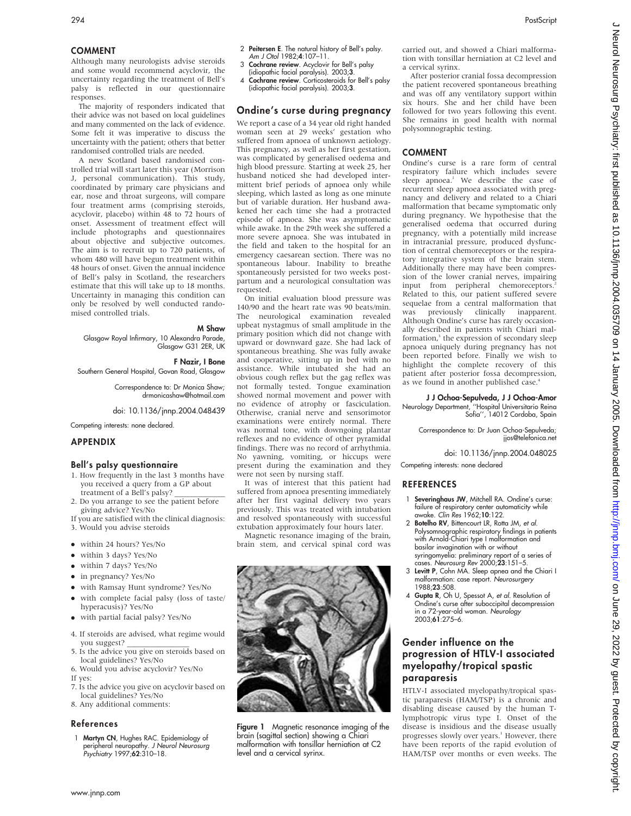# COMMENT

Although many neurologists advise steroids and some would recommend acyclovir, the uncertainty regarding the treatment of Bell's palsy is reflected in our questionnaire responses.

The majority of responders indicated that their advice was not based on local guidelines and many commented on the lack of evidence. Some felt it was imperative to discuss the uncertainty with the patient; others that better randomised controlled trials are needed.

A new Scotland based randomised controlled trial will start later this year (Morrison J, personal communication). This study, coordinated by primary care physicians and ear, nose and throat surgeons, will compare four treatment arms (comprising steroids, acyclovir, placebo) within 48 to 72 hours of onset. Assessment of treatment effect will include photographs and questionnaires about objective and subjective outcomes. The aim is to recruit up to 720 patients, of whom 480 will have begun treatment within 48 hours of onset. Given the annual incidence of Bell's palsy in Scotland, the researchers estimate that this will take up to 18 months. Uncertainty in managing this condition can only be resolved by well conducted randomised controlled trials.

M Shaw

Glasgow Royal Infirmary, 10 Alexandra Parade, Glasgow G31 2ER, UK

F Nazir, I Bone

Southern General Hospital, Govan Road, Glasgow

Correspondence to: Dr Monica Shaw; drmonicashaw@hotmail.com

doi: 10.1136/jnnp.2004.048439

Competing interests: none declared.

# APPENDIX

# Bell's palsy questionnaire

- 1. How frequently in the last 3 months have you received a query from a GP about treatment of a Bell's palsy?
- 2. Do you arrange to see the patient before giving advice? Yes/No
- If you are satisfied with the clinical diagnosis:
- 3. Would you advise steroids
- $\bullet$  within 24 hours? Yes/No
- $\bullet$  within 3 days? Yes/No
- within 7 days? Yes/No
- 
- $\bullet$  in pregnancy? Yes/No
- with Ramsay Hunt syndrome? Yes/No • with complete facial palsy (loss of taste/
- hyperacusis)? Yes/No
- with partial facial palsy? Yes/No
- 4. If steroids are advised, what regime would you suggest? \_\_\_\_\_\_\_\_\_\_\_\_\_\_\_\_
- 5. Is the advice you give on steroids based on local guidelines? Yes/No
- 6. Would you advise acyclovir? Yes/No If yes:
- 7. Is the advice you give on acyclovir based on local guidelines? Yes/No
- 8. Any additional comments:

### References

1 Martyn CN, Hughes RAC. Epidemiology of peripheral neuropathy. J Neurol Neurosurg Psychiatry 1997;62:310–18.

- 2 Peitersen E. The natural history of Bell's palsy. Am J Otol 1982;4:107–11.
- 3 Cochrane review. Acyclovir for Bell's palsy (idiopathic facial paralysis). 2003;3.
- 4 Cochrane review. Corticosteroids for Bell's palsy (idiopathic facial paralysis). 2003;3.

# Ondine's curse during pregnancy

We report a case of a 34 year old right handed woman seen at 29 weeks' gestation who suffered from apnoea of unknown aetiology. This pregnancy, as well as her first gestation, was complicated by generalised oedema and high blood pressure. Starting at week 25, her husband noticed she had developed intermittent brief periods of apnoea only while sleeping, which lasted as long as one minute but of variable duration. Her husband awakened her each time she had a protracted episode of apnoea. She was asymptomatic while awake. In the 29th week she suffered a more severe apnoea. She was intubated in the field and taken to the hospital for an emergency caesarean section. There was no spontaneous labour. Inability to breathe spontaneously persisted for two weeks postpartum and a neurological consultation was requested.

On initial evaluation blood pressure was 140/90 and the heart rate was 90 beats/min. The neurological examination revealed upbeat nystagmus of small amplitude in the primary position which did not change with upward or downward gaze. She had lack of spontaneous breathing. She was fully awake and cooperative, sitting up in bed with no assistance. While intubated she had an obvious cough reflex but the gag reflex was not formally tested. Tongue examination showed normal movement and power with no evidence of atrophy or fasciculation. Otherwise, cranial nerve and sensorimotor examinations were entirely normal. There was normal tone, with downgoing plantar reflexes and no evidence of other pyramidal findings. There was no record of arrhythmia. No yawning, vomiting, or hiccups were present during the examination and they were not seen by nursing staff.

It was of interest that this patient had suffered from apnoea presenting immediately after her first vaginal delivery two years previously. This was treated with intubation and resolved spontaneously with successful extubation approximately four hours later.

Magnetic resonance imaging of the brain, brain stem, and cervical spinal cord was



Figure 1 Magnetic resonance imaging of the brain (sagittal section) showing a Chiari malformation with tonsillar herniation at C2 level and a cervical syrinx.

carried out, and showed a Chiari malformation with tonsillar herniation at C2 level and a cervical syrinx.

After posterior cranial fossa decompression the patient recovered spontaneous breathing and was off any ventilatory support within six hours. She and her child have been followed for two years following this event. She remains in good health with normal polysomnographic testing.

# COMMENT

Ondine's curse is a rare form of central respiratory failure which includes severe sleep apnoea.<sup>1</sup> We describe the case of recurrent sleep apnoea associated with pregnancy and delivery and related to a Chiari malformation that became symptomatic only during pregnancy. We hypothesise that the generalised oedema that occurred during pregnancy, with a potentially mild increase in intracranial pressure, produced dysfunction of central chemoreceptors or the respiratory integrative system of the brain stem. Additionally there may have been compression of the lower cranial nerves, impairing input from peripheral chemoreceptors.<sup>2</sup> Related to this, our patient suffered severe sequelae from a central malformation that was previously clinically inapparent. Although Ondine's curse has rarely occasionally described in patients with Chiari malformation,<sup>3</sup> the expression of secondary sleep apnoea uniquely during pregnancy has not been reported before. Finally we wish to highlight the complete recovery of this patient after posterior fossa decompression, as we found in another published case.<sup>4</sup>

J J Ochoa-Sepulveda, J J Ochoa-Amor Neurology Department, ''Hospital Universitario Reina

Sofia'', 14012 Cordoba, Spain

Correspondence to: Dr Juan Ochoa-Sepulveda; jjos@telefonica.net

doi: 10.1136/jnnp.2004.048025

Competing interests: none declared

## REFERENCES

- Severinghaus JW, Mitchell RA. Ondine's curse: failure of respiratory center automaticity while awake. Clin Res 1962;10:122.
- 2 Botelho RV, Bittencourt LR, Rotta JM, et al. Polysomnographic respiratory findings in patients with Arnold-Chiari type I malformation and basilar invagination with or without syringomyelia: preliminary report of a series of
- cases. Neurosurg Rev 2000;23:151–5. 3 Levitt P, Cohn MA. Sleep apnea and the Chiari I malformation: case report. Neurosurgery 1988;23:508.
- 4 Gupta R, Oh U, Spessot A, et al. Resolution of Ondine's curse after suboccipital decompression in a 72-year-old woman. Neurology 2003;61:275–6.

# Gender influence on the progression of HTLV-I associated myelopathy/tropical spastic paraparesis

HTLV-I associated myelopathy/tropical spastic paraparesis (HAM/TSP) is a chronic and disabling disease caused by the human Tlymphotropic virus type I. Onset of the disease is insidious and the disease usually progresses slowly over years.<sup>1</sup> However, there have been reports of the rapid evolution of HAM/TSP over months or even weeks. The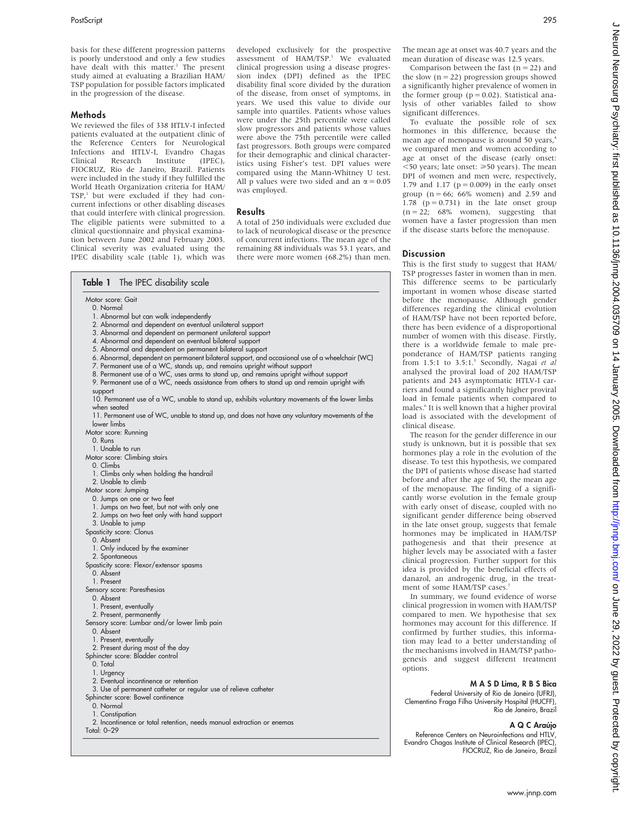### Methods

We reviewed the files of 338 HTLV-I infected patients evaluated at the outpatient clinic of the Reference Centers for Neurological Infections and HTLV-I, Evandro Chagas<br>Clinical Research Institute (IPEC). Research Institute FIOCRUZ, Rio de Janeiro, Brazil. Patients were included in the study if they fulfilled the World Heath Organization criteria for HAM/  $TSP<sub>i</sub>$  but were excluded if they had concurrent infections or other disabling diseases that could interfere with clinical progression. The eligible patients were submitted to a clinical questionnaire and physical examination between June 2002 and February 2003. Clinical severity was evaluated using the IPEC disability scale (table 1), which was

developed exclusively for the prospective<br>assessment of HAM/TSP.<sup>3</sup> We evaluated clinical progression using a disease progression index (DPI) defined as the IPEC disability final score divided by the duration of the disease, from onset of symptoms, in years. We used this value to divide our sample into quartiles. Patients whose values were under the 25th percentile were called slow progressors and patients whose values were above the 75th percentile were called fast progressors. Both groups were compared for their demographic and clinical characteristics using Fisher's test. DPI values were compared using the Mann-Whitney U test. All p values were two sided and an  $\alpha = 0.05$ was employed.

# Results

A total of 250 individuals were excluded due to lack of neurological disease or the presence of concurrent infections. The mean age of the remaining 88 individuals was 53.1 years, and there were more women (68.2%) than men.

| Table 1<br>The IPEC disability scale                                                           |  |
|------------------------------------------------------------------------------------------------|--|
| Motor score: Gait                                                                              |  |
| 0. Normal                                                                                      |  |
| 1. Abnormal but can walk independently                                                         |  |
| 2. Abnormal and dependent on eventual unilateral support                                       |  |
| 3. Abnormal and dependent on permanent unilateral support                                      |  |
| 4. Abnormal and dependent on eventual bilateral support                                        |  |
| 5. Abnormal and dependent on permanent bilateral support                                       |  |
| 6. Abnormal, dependent on permanent bilateral support, and occasional use of a wheelchair (WC) |  |
| 7. Permanent use of a WC, stands up, and remains upright without support                       |  |
| 8. Permanent use of a WC, uses arms to stand up, and remains upright without support           |  |
| 9. Permanent use of a WC, needs assistance from others to stand up and remain upright with     |  |
| support                                                                                        |  |
| 10. Permanent use of a WC, unable to stand up, exhibits voluntary movements of the lower limbs |  |
| when seated                                                                                    |  |
| 11. Permanent use of WC, unable to stand up, and does not have any voluntary movements of the  |  |
| lower limbs                                                                                    |  |
| Motor score: Running                                                                           |  |
| 0. Runs                                                                                        |  |
| 1. Unable to run                                                                               |  |
| Motor score: Climbing stairs                                                                   |  |
| 0. Climbs                                                                                      |  |
|                                                                                                |  |
| 1. Climbs only when holding the handrail                                                       |  |
| 2. Unable to climb                                                                             |  |
| Motor score: Jumping                                                                           |  |
| 0. Jumps on one or two feet                                                                    |  |
| 1. Jumps on two feet, but not with only one                                                    |  |
| 2. Jumps on two feet only with hand support                                                    |  |
| 3. Unable to jump                                                                              |  |
| <b>Spasticity score: Clonus</b>                                                                |  |
| 0. Absent                                                                                      |  |
| 1. Only induced by the examiner                                                                |  |
| 2. Spontaneous                                                                                 |  |
| Spasticity score: Flexor/extensor spasms                                                       |  |
| 0. Absent                                                                                      |  |
| 1. Present                                                                                     |  |
| Sensory score: Paresthesias                                                                    |  |
| 0. Absent                                                                                      |  |
| 1. Present, eventually                                                                         |  |
| 2. Present, permanently                                                                        |  |
| Sensory score: Lumbar and/or lower limb pain                                                   |  |
| 0. Absent                                                                                      |  |
| 1. Present, eventually                                                                         |  |
| 2. Present during most of the day                                                              |  |
| Sphincter score: Bladder control                                                               |  |
| 0. Total                                                                                       |  |
| 1. Urgency                                                                                     |  |
| 2. Eventual incontinence or retention                                                          |  |
| 3. Use of permanent catheter or regular use of relieve catheter                                |  |
| Sphincter score: Bowel continence                                                              |  |
| 0. Normal                                                                                      |  |
| 1. Constipation                                                                                |  |
| 2. Incontinence or total retention, needs manual extraction or enemas                          |  |
| Total: 0-29                                                                                    |  |

Comparison between the fast  $(n = 22)$  and the slow  $(n = 22)$  progression groups showed a significantly higher prevalence of women in the former group ( $p = 0.02$ ). Statistical analysis of other variables failed to show significant differences.

To evaluate the possible role of sex hormones in this difference, because the mean age of menopause is around 50 years,<sup>4</sup> we compared men and women according to age at onset of the disease (early onset:  $\leq$ 50 years; late onset:  $\geq$ 50 years). The mean DPI of women and men were, respectively, 1.79 and 1.17 ( $p = 0.009$ ) in the early onset group ( $n = 66$ ; 66% women) and 2.59 and 1.78 ( $p = 0.731$ ) in the late onset group  $(n = 22; 68\%$  women), suggesting that women have a faster progression than men if the disease starts before the menopause.

## **Discussion**

This is the first study to suggest that HAM/ TSP progresses faster in women than in men. This difference seems to be particularly important in women whose disease started before the menopause. Although gender differences regarding the clinical evolution of HAM/TSP have not been reported before, there has been evidence of a disproportional number of women with this disease. Firstly, there is a worldwide female to male preponderance of HAM/TSP patients ranging from 1.5:1 to 3.5:1.<sup>5</sup> Secondly, Nagai et al analysed the proviral load of 202 HAM/TSP patients and 243 asymptomatic HTLV-I carriers and found a significantly higher proviral load in female patients when compared to males.6 It is well known that a higher proviral load is associated with the development of clinical disease.

The reason for the gender difference in our study is unknown, but it is possible that sex hormones play a role in the evolution of the disease. To test this hypothesis, we compared the DPI of patients whose disease had started before and after the age of 50, the mean age of the menopause. The finding of a significantly worse evolution in the female group with early onset of disease, coupled with no significant gender difference being observed in the late onset group, suggests that female hormones may be implicated in HAM/TSP pathogenesis and that their presence at higher levels may be associated with a faster clinical progression. Further support for this idea is provided by the beneficial effects of danazol, an androgenic drug, in the treatment of some HAM/TSP cases.

In summary, we found evidence of worse clinical progression in women with HAM/TSP compared to men. We hypothesise that sex hormones may account for this difference. If confirmed by further studies, this information may lead to a better understanding of the mechanisms involved in HAM/TSP pathogenesis and suggest different treatment options.

# M A S D Lima, R B S Bica

Federal University of Rio de Janeiro (UFRJ), Clementino Fraga Filho University Hospital (HUCFF), Rio de Janeiro, Brazil

## A Q C Araújo

Reference Centers on Neuroinfections and HTLV, Evandro Chagas Institute of Clinical Research (IPEC), FIOCRUZ, Rio de Janeiro, Brazil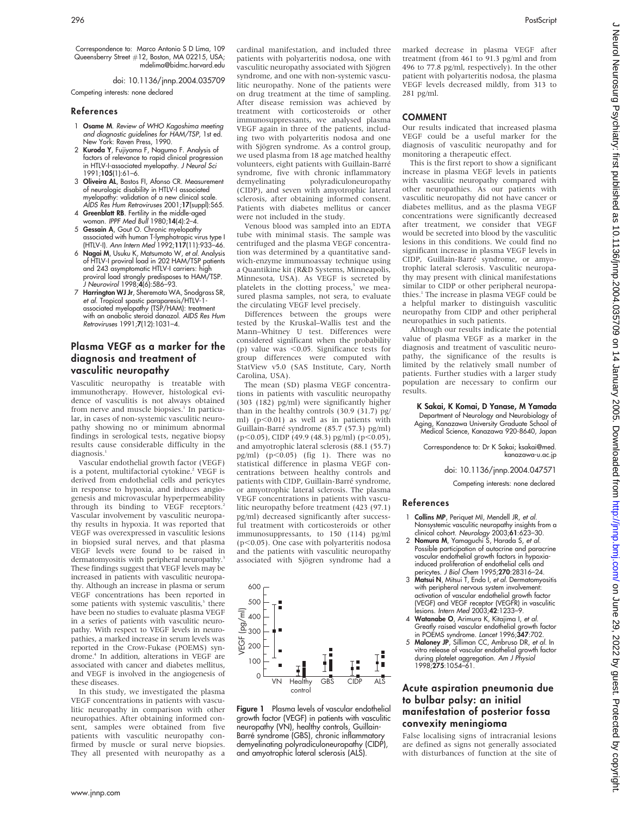Correspondence to: Marco Antonio S D Lima, 109 Queensberry Street #12, Boston, MA 02215, USA; mdelima@bidmc.harvard.edu

doi: 10.1136/jnnp.2004.035709 Competing interests: none declared

#### References

- 1 Osame M. Review of WHO Kagoshima meeting and diagnostic guidelines for HAM/TSP, 1st ed. New York: Raven Press, 1990.
- 2 Kuroda Y, Fujiyama F, Nagumo F. Analysis of factors of relevance to rapid clinical progression in HTLV-I-associated myelopathy. J Neurol Sci 1991;105(1):61–6.
- 3 Oliveira AL, Bastos FI, Afonso CR. Measurement of neurologic disability in HTLV-I associated myelopathy: validation of a new clinical scale. AIDS Res Hum Retroviruses 2001;17(suppl):S65.
- 4 Greenblatt RB. Fertility in the middle-aged woman. IPPF Med Bull 1980;14(4):2–4.
- 5 Gessain A, Gout O. Chronic myelopathy associated with human T-lymphotropic virus type I (HTLV-I). Ann Intern Med 1992;117(11):933–46.
- 6 Nagai M, Usuku K, Matsumoto W, et al. Analysis of HTLV-I proviral load in 202 HAM/TSP patients and 243 asymptomatic HTLV-I carriers: high proviral load strongly predisposes to HAM/TSP. J Neurovirol 1998;4(6):586–93.
- 7 Harrington WJ Jr, Sheremata WA, Snodgrass SR, et al. Tropical spastic paraparesis/HTLV-1-<br>associated myelopathy (TSP/HAM): treatment<br>with an anabolic steroid danazol. *AIDS Res Hum* Retroviruses 1991;7(12):1031–4.

# Plasma VEGF as a marker for the diagnosis and treatment of vasculitic neuropathy

Vasculitic neuropathy is treatable with immunotherapy. However, histological evidence of vasculitis is not always obtained from nerve and muscle biopsies.<sup>1</sup> In particular, in cases of non-systemic vasculitic neuropathy showing no or minimum abnormal findings in serological tests, negative biopsy results cause considerable difficulty in the diagnosis.<sup>1</sup>

Vascular endothelial growth factor (VEGF) is a potent, multifactorial cytokine.<sup>2</sup> VEGF is derived from endothelial cells and pericytes in response to hypoxia, and induces angiogenesis and microvascular hyperpermeability through its binding to VEGF receptors.<sup>2</sup> Vascular involvement by vasculitic neuropathy results in hypoxia. It was reported that VEGF was overexpressed in vasculitic lesions in biopsied sural nerves, and that plasma VEGF levels were found to be raised in dermatomyositis with peripheral neuropathy. These findings suggest that VEGF levels may be increased in patients with vasculitic neuropathy. Although an increase in plasma or serum VEGF concentrations has been reported in some patients with systemic vasculitis,<sup>3</sup> there have been no studies to evaluate plasma VEGF in a series of patients with vasculitic neuropathy. With respect to VEGF levels in neuropathies, a marked increase in serum levels was reported in the Crow-Fukase (POEMS) syndrome.4 In addition, alterations in VEGF are associated with cancer and diabetes mellitus, and VEGF is involved in the angiogenesis of these diseases.

In this study, we investigated the plasma VEGF concentrations in patients with vasculitic neuropathy in comparison with other neuropathies. After obtaining informed consent, samples were obtained from five patients with vasculitic neuropathy confirmed by muscle or sural nerve biopsies. They all presented with neuropathy as a cardinal manifestation, and included three patients with polyarteritis nodosa, one with vasculitic neuropathy associated with Sjögren syndrome, and one with non-systemic vasculitic neuropathy. None of the patients were on drug treatment at the time of sampling. After disease remission was achieved by treatment with corticosteroids or other immunosuppressants, we analysed plasma VEGF again in three of the patients, including two with polyarteritis nodosa and one with Sjögren syndrome. As a control group, we used plasma from 18 age matched healthy volunteers, eight patients with Guillain-Barré syndrome, five with chronic inflammatory<br>demyelinating polyradiculoneuropathy polyradiculoneuropathy (CIDP), and seven with amyotrophic lateral sclerosis, after obtaining informed consent. Patients with diabetes mellitus or cancer were not included in the study.

Venous blood was sampled into an EDTA tube with minimal stasis. The sample was centrifuged and the plasma VEGF concentration was determined by a quantitative sandwich-enzyme immunoassay technique using a Quantikine kit (R&D Systems, Minneapolis, Minnesota, USA). As VEGF is secreted by platelets in the clotting process,<sup>5</sup> we measured plasma samples, not sera, to evaluate the circulating VEGF level precisely.

Differences between the groups were tested by the Kruskal–Wallis test and the Mann–Whitney U test. Differences were considered significant when the probability (p) value was  $\leq 0.05$ . Significance tests for group differences were computed with StatView v5.0 (SAS Institute, Cary, North Carolina, USA).

The mean (SD) plasma VEGF concentrations in patients with vasculitic neuropathy (303 (182) pg/ml) were significantly higher than in the healthy controls (30.9 (31.7) pg/ ml) (p<0.01) as well as in patients with Guillain-Barré syndrome (85.7 (57.3) pg/ml)  $(p<0.05)$ , CIDP (49.9 (48.3) pg/ml) (p $<0.05$ ), and amyotrophic lateral sclerosis (88.1 (55.7) pg/ml)  $(p<0.05)$  (fig 1). There was no statistical difference in plasma VEGF concentrations between healthy controls and patients with CIDP, Guillain-Barré syndrome, or amyotrophic lateral sclerosis. The plasma VEGF concentrations in patients with vasculitic neuropathy before treatment (423 (97.1) pg/ml) decreased significantly after successful treatment with corticosteroids or other immunosuppressants, to 150 (114) pg/ml  $(p<0.05)$ . One case with polyarteritis nodosa and the patients with vasculitic neuropathy associated with Sjögren syndrome had a



Figure 1 Plasma levels of vascular endothelial growth factor (VEGF) in patients with vasculitic neuropathy (VN), healthy controls, Guillain-Barre´ syndrome (GBS), chronic inflammatory demyelinating polyradiculoneuropathy (CIDP), and amyotrophic lateral sclerosis (ALS).

marked decrease in plasma VEGF after treatment (from 461 to 91.3 pg/ml and from 496 to 77.8 pg/ml, respectively). In the other patient with polyarteritis nodosa, the plasma VEGF levels decreased mildly, from 313 to 281 pg/ml.

## COMMENT

Our results indicated that increased plasma VEGF could be a useful marker for the diagnosis of vasculitic neuropathy and for monitoring a therapeutic effect.

This is the first report to show a significant increase in plasma VEGF levels in patients with vasculitic neuropathy compared with other neuropathies. As our patients with vasculitic neuropathy did not have cancer or diabetes mellitus, and as the plasma VEGF concentrations were significantly decreased after treatment, we consider that VEGF would be secreted into blood by the vasculitic lesions in this conditions. We could find no significant increase in plasma VEGF levels in CIDP, Guillain-Barre´ syndrome, or amyotrophic lateral sclerosis. Vasculitic neuropathy may present with clinical manifestations similar to CIDP or other peripheral neuropathies.<sup>1</sup> The increase in plasma VEGF could be a helpful marker to distinguish vasculitic neuropathy from CIDP and other peripheral neuropathies in such patients.

Although our results indicate the potential value of plasma VEGF as a marker in the diagnosis and treatment of vasculitic neuropathy, the significance of the results is limited by the relatively small number of patients. Further studies with a larger study population are necessary to confirm our results.

K Sakai, K Komai, D Yanase, M Yamada Department of Neurology and Neurobiology of Aging, Kanazawa University Graduate School of Medical Science, Kanazawa 920-8640, Japan

Correspondence to: Dr K Sakai; ksakai@med. kanazawa-u.ac.jp

doi: 10.1136/jnnp.2004.047571

Competing interests: none declared

## References

- Collins MP, Periquet MI, Mendell JR, et al. Nonsystemic vasculitic neuropathy insights from a clinical cohort. Neurology 2003;61:623-30.
- 2 Nomura M, Yamaguchi S, Harada S, et al. Possible participation of autocrine and paracrine vascular endothelial growth factors in hypoxia-induced proliferation of endothelial cells and pericytes. J Biol Chem 1995;270:28316–24.
- 3 Matsui N, Mitsui T, Endo I, et al. Dermatomyositis with peripheral nervous system involvement: activation of vascular endothelial growth factor (VEGF) and VEGF receptor (VEGFR) in vasculitic lesions. Intern Med 2003;42:1233–9.
- 4 Watanabe O, Arimura K, Kitajima I, et al. Greatly raised vascular endothelial growth factor<br>in POEMS syndrome. *Lancet* 1996;**347**:702.
- 5 Maloney JP, Silliman CC, Ambruso DR, et al. In vitro release of vascular endothelial growth factor during platelet aggregation. Am J Physiol 1998;275:1054–61.

# Acute aspiration pneumonia due to bulbar palsy: an initial manifestation of posterior fossa convexity meningioma

False localising signs of intracranial lesions are defined as signs not generally associated with disturbances of function at the site of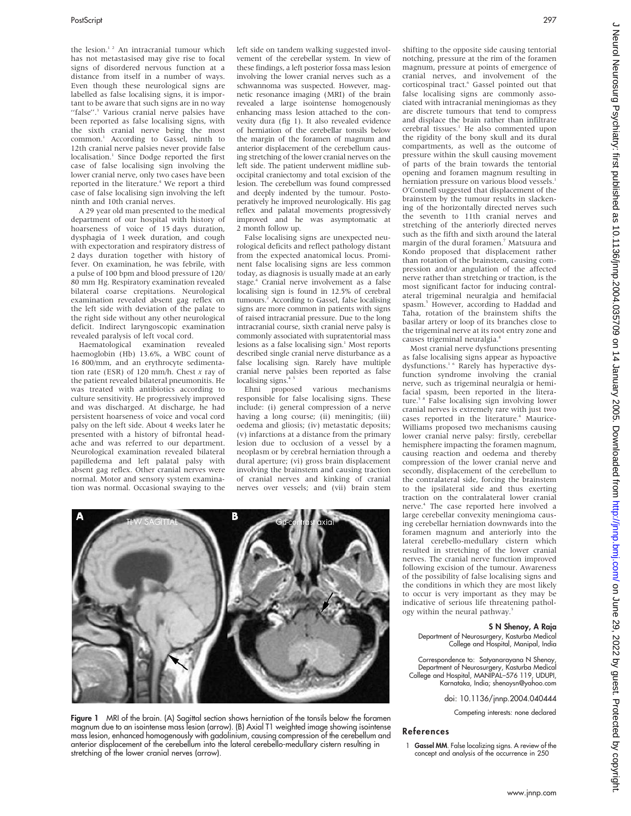the lesion.<sup>1.2</sup> An intracranial tumour which has not metastasised may give rise to focal signs of disordered nervous function at a distance from itself in a number of ways. Even though these neurological signs are labelled as false localising signs, it is important to be aware that such signs are in no way "false".<sup>3</sup> Various cranial nerve palsies have been reported as false localising signs, with the sixth cranial nerve being the most common.<sup>1</sup> According to Gassel, ninth to 12th cranial nerve palsies never provide false localisation.<sup>1</sup> Since Dodge reported the first case of false localising sign involving the lower cranial nerve, only two cases have been reported in the literature.<sup>4</sup> We report a third case of false localising sign involving the left ninth and 10th cranial nerves.

A 29 year old man presented to the medical department of our hospital with history of hoarseness of voice of 15 days duration, dysphagia of 1 week duration, and cough with expectoration and respiratory distress of 2 days duration together with history of fever. On examination, he was febrile, with a pulse of 100 bpm and blood pressure of 120/ 80 mm Hg. Respiratory examination revealed bilateral coarse crepitations. Neurological examination revealed absent gag reflex on the left side with deviation of the palate to the right side without any other neurological deficit. Indirect laryngoscopic examination revealed paralysis of left vocal cord.

Haematological examination revealed haemoglobin (Hb) 13.6%, a WBC count of 16 800/mm, and an erythrocyte sedimentation rate (ESR) of 120 mm/h. Chest  $x$  ray of the patient revealed bilateral pneumonitis. He was treated with antibiotics according to culture sensitivity. He progressively improved and was discharged. At discharge, he had persistent hoarseness of voice and vocal cord palsy on the left side. About 4 weeks later he presented with a history of bifrontal headache and was referred to our department. Neurological examination revealed bilateral papilledema and left palatal palsy with absent gag reflex. Other cranial nerves were normal. Motor and sensory system examination was normal. Occasional swaying to the left side on tandem walking suggested involvement of the cerebellar system. In view of these findings, a left posterior fossa mass lesion involving the lower cranial nerves such as a schwannoma was suspected. However, magnetic resonance imaging (MRI) of the brain revealed a large isointense homogenously enhancing mass lesion attached to the convexity dura (fig 1). It also revealed evidence of herniation of the cerebellar tonsils below the margin of the foramen of magnum and anterior displacement of the cerebellum causing stretching of the lower cranial nerves on the left side. The patient underwent midline suboccipital craniectomy and total excision of the lesion. The cerebellum was found compressed and deeply indented by the tumour. Postoperatively he improved neurologically. His gag reflex and palatal movements progressively improved and he was asymptomatic at 2 month follow up.

False localising signs are unexpected neurological deficits and reflect pathology distant from the expected anatomical locus. Prominent false localising signs are less common today, as diagnosis is usually made at an early stage.<sup>4</sup> Cranial nerve involvement as a false localising sign is found in 12.5% of cerebral tumours.2 According to Gassel, false localising signs are more common in patients with signs of raised intracranial pressure. Due to the long intracranial course, sixth cranial nerve palsy is commonly associated with supratentorial mass lesions as a false localising sign.<sup>1</sup> Most reports described single cranial nerve disturbance as a false localising sign. Rarely have multiple cranial nerve palsies been reported as false localising signs.<sup>4</sup>

Ehni proposed various mechanisms responsible for false localising signs. These include: (i) general compression of a nerve having a long course; (ii) meningitis; (iii) oedema and gliosis; (iv) metastatic deposits; (v) infarctions at a distance from the primary lesion due to occlusion of a vessel by a neoplasm or by cerebral herniation through a dural aperture; (vi) gross brain displacement involving the brainstem and causing traction of cranial nerves and kinking of cranial nerves over vessels; and (vii) brain stem

shifting to the opposite side causing tentorial notching, pressure at the rim of the foramen magnum, pressure at points of emergence of cranial nerves, and involvement of the corticospinal tract.<sup>6</sup> Gassel pointed out that false localising signs are commonly associated with intracranial meningiomas as they are discrete tumours that tend to compress and displace the brain rather than infiltrate cerebral tissues.<sup>1</sup> He also commented upon the rigidity of the bony skull and its dural compartments, as well as the outcome of pressure within the skull causing movement of parts of the brain towards the tentorial opening and foramen magnum resulting in herniation pressure on various blood vessels.<sup>1</sup> O'Connell suggested that displacement of the brainstem by the tumour results in slackening of the horizontally directed nerves such the seventh to 11th cranial nerves and stretching of the anteriorly directed nerves such as the fifth and sixth around the lateral margin of the dural foramen.7 Matsuura and Kondo proposed that displacement rather than rotation of the brainstem, causing compression and/or angulation of the affected nerve rather than stretching or traction, is the most significant factor for inducing contralateral trigeminal neuralgia and hemifacial spasm.5 However, according to Haddad and Taha, rotation of the brainstem shifts the basilar artery or loop of its branches close to the trigeminal nerve at its root entry zone and causes trigeminal neuralgia.<sup>8</sup>

Most cranial nerve dysfunctions presenting as false localising signs appear as hypoactive dysfunctions.<sup>1 6</sup> Rarely has hyperactive dysfunction syndrome involving the cranial nerve, such as trigeminal neuralgia or hemifacial spasm, been reported in the litera-<br>ture.<sup>5 8</sup> False localising sign involving lower cranial nerves is extremely rare with just two cases reported in the literature.<sup>4</sup> Maurice-Williams proposed two mechanisms causing lower cranial nerve palsy: firstly, cerebellar hemisphere impacting the foramen magnum, causing reaction and oedema and thereby compression of the lower cranial nerve and secondly, displacement of the cerebellum to the contralateral side, forcing the brainstem to the ipsilateral side and thus exerting traction on the contralateral lower cranial nerve.<sup>4</sup> The case reported here involved a large cerebellar convexity meningioma causing cerebellar herniation downwards into the foramen magnum and anteriorly into the lateral cerebello-medullary cistern which resulted in stretching of the lower cranial nerves. The cranial nerve function improved following excision of the tumour. Awareness of the possibility of false localising signs and the conditions in which they are most likely to occur is very important as they may be indicative of serious life threatening pathology within the neural pathway.

#### S N Shenoy, A Raja

Department of Neurosurgery, Kasturba Medical College and Hospital, Manipal, India

Correspondence to: Satyanarayana N Shenoy, Department of Neurosurgery, Kasturba Medical College and Hospital, MANIPAL–576 119, UDUPI, Karnataka, India; shenoysn@yahoo.com

doi: 10.1136/jnnp.2004.040444

Competing interests: none declared

#### References

1 Gassel MM. False localizing signs. A review of the concept and analysis of the occurrence in 250



в

Figure 1 MRI of the brain. (A) Sagittal section shows herniation of the tonsils below the foramen magnum due to an isointense mass lesion (arrow). (B) Axial T1 weighted image showing isointense mass lesion, enhanced homogenously with gadolinium, causing compression of the cerebellum and anterior displacement of the cerebellum into the lateral cerebello-medullary cistern resulting in stretching of the lower cranial nerves (arrow).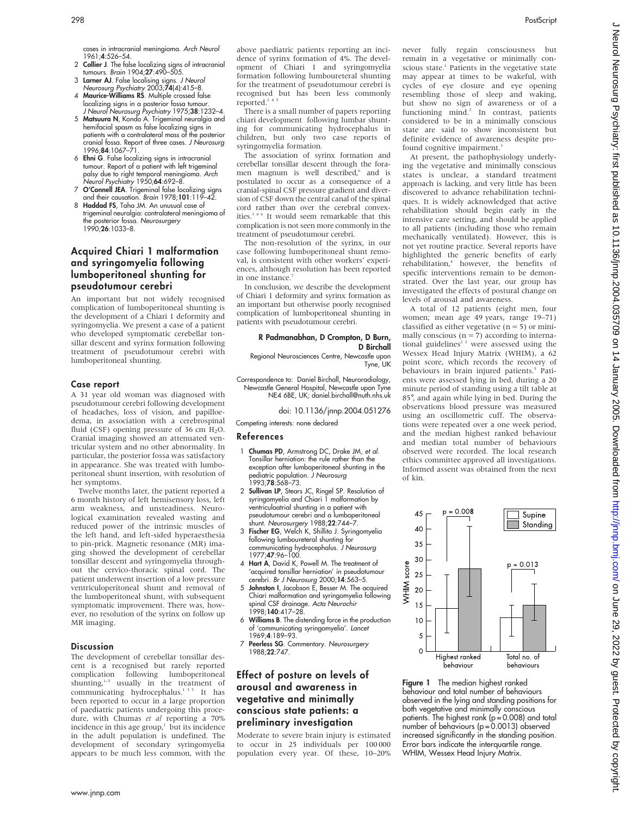cases in intracranial meningioma. Arch Neurol 1961;4:526–54.

- 2 Collier J. The false localizing signs of intracranial tumours. Brain 1904;27:490–505.
- 3 **Larner AJ**. False localising signs. *J Neurol*<br>15–8. Neurosurg Psychiatry 2003;**74**(4):415–8.<br>4 **Maurice-Williams RS**. Multiple crossed false
- localizing signs in a posterior fossa tumour. J Neurol Neurosurg Psychiatry 1975;38:1232-4.
- 5 Matsuura N, Kondo A. Trigeminal neuralgia and hemifacial spasm as false localizing signs in patients with a contralateral mass of the posterior cranial fossa. Report of three cases. *J Neurosurg*<br>1996;**84**:1067–71.
- 6 Ehni G. False localizing signs in intracranial tumour. Report of a patient with left trigeminal palsy due to right temporal meningioma. Arch Neurol Psychiatry 1950;**64**:692-8.
- 7 O'Connell JEA. Trigeminal false localizing signs and their causation. Brain 1978;101:119–42.
- 8 Haddad FS, Taha JM. An unusual case of trigeminal neuralgia: contralateral meningioma of the posterior fossa. Neurosurgery 1990:26:1033-8.

# Acquired Chiari 1 malformation and syringomyelia following lumboperitoneal shunting for pseudotumour cerebri

An important but not widely recognised complication of lumboperitoneal shunting is the development of a Chiari 1 deformity and syringomyelia. We present a case of a patient who developed symptomatic cerebellar tonsillar descent and syrinx formation following treatment of pseudotumour cerebri with lumboperitoneal shunting.

## Case report

A 31 year old woman was diagnosed with pseudotumour cerebri following development of headaches, loss of vision, and papilloedema, in association with a cerebrospinal fluid (CSF) opening pressure of 36 cm  $H_2O$ . Cranial imaging showed an attenuated ventricular system and no other abnormality. In particular, the posterior fossa was satisfactory in appearance. She was treated with lumboperitoneal shunt insertion, with resolution of her symptoms.

Twelve months later, the patient reported a 6 month history of left hemisensory loss, left arm weakness, and unsteadiness. Neurological examination revealed wasting and reduced power of the intrinsic muscles of the left hand, and left-sided hyperaesthesia to pin-prick. Magnetic resonance (MR) imaging showed the development of cerebellar tonsillar descent and syringomyelia throughout the cervico-thoracic spinal cord. The patient underwent insertion of a low pressure ventriculoperitoneal shunt and removal of the lumboperitoneal shunt, with subsequent symptomatic improvement. There was, however, no resolution of the syrinx on follow up MR imaging.

## **Discussion**

The development of cerebellar tonsillar descent is a recognised but rarely reported complication following lumboperitoneal shunting, $1-5$  usually in the treatment of communicating hydrocephalus.<sup>135</sup> It has been reported to occur in a large proportion of paediatric patients undergoing this procedure, with Chumas et al reporting a 70% incidence in this age group, $\frac{1}{2}$  but its incidence in the adult population is undefined. The development of secondary syringomyelia appears to be much less common, with the

above paediatric patients reporting an incidence of syrinx formation of 4%. The development of Chiari 1 and syringomyelia formation following lumboureteral shunting for the treatment of pseudotumour cerebri is recognised but has been less commonly reported.<sup>2</sup>

There is a small number of papers reporting chiari development following lumbar shunting for communicating hydrocephalus in children, but only two case reports of syringomyelia formation.

The association of syrinx formation and cerebellar tonsillar descent through the foramen magnum is well described,<sup>6</sup> and is postulated to occur as a consequence of a cranial-spinal CSF pressure gradient and diversion of CSF down the central canal of the spinal cord rather than over the cerebral convexities.346 It would seem remarkable that this complication is not seen more commonly in the treatment of pseudotumour cerebri.

The non-resolution of the syrinx, in our case following lumboperitoneal shunt removal, is consistent with other workers' experiences, although resolution has been reported in one instance.<sup>7</sup>

In conclusion, we describe the development of Chiari 1 deformity and syrinx formation as an important but otherwise poorly recognised complication of lumboperitoneal shunting in patients with pseudotumour cerebri.

#### R Padmanabhan, D Crompton, D Burn, D Birchall

Regional Neurosciences Centre, Newcastle upon Tyne, UK

Correspondence to: Daniel Birchall, Neuroradiology, Newcastle General Hospital, Newcastle upon Tyne NE4 6BE, UK; daniel.birchall@nuth.nhs.uk

doi: 10.1136/jnnp.2004.051276

Competing interests: none declared

## References

- 1 Chumas PD, Armstrong DC, Drake JM, et al. Tonsillar herniation: the rule rather than the exception after lumboperitoneal shunting in the pediatric population. J Neurosurg 1993;78:568–73.
- 2 Sullivan LP, Stears JC, Ringel SP. Resolution of syringomyelia and Chiari 1 malformation by ventriculoatrial shunting in a patient with pseudotumour cerebri and a lumboperitoneal
- shunt. Neurosurgery 1988;22:744–7. 3 Fischer EG, Welch K, Shillito J. Syringomyelia following lumboureteral shunting for communicating hydrocephalus. *J Neurosurg*<br>1977;**47**:96–100.
- 4 Hart A, David K, Powell M. The treatment of 'acquired tonsillar herniation' in pseudotumour cerebri. Br J Neurosurg 2000;14:563–5.
- 5 Johnston I, Jacobson E, Besser M. The acquired Chiari malformation and syringomyelia following spinal CSF drainage. Acta Neurochir 1998;140:417–28.
- Williams B. The distending force in the production of 'communicating syringomyelia'. Lancet 1969;4:189–93.
- 7 Peerless SG. Commentary. Neurosurgery 1988;22:747.

# Effect of posture on levels of arousal and awareness in vegetative and minimally conscious state patients: a preliminary investigation

Moderate to severe brain injury is estimated to occur in 25 individuals per 100 000 population every year. Of these, 10–20% never fully regain consciousness but remain in a vegetative or minimally conscious state.<sup>1</sup> Patients in the vegetative state may appear at times to be wakeful, with cycles of eye closure and eye opening resembling those of sleep and waking, but show no sign of awareness or of a functioning mind.<sup>2</sup> In contrast, patients considered to be in a minimally conscious state are said to show inconsistent but definite evidence of awareness despite profound cognitive impairment.<sup>3</sup>

At present, the pathophysiology underlying the vegetative and minimally conscious states is unclear, a standard treatment approach is lacking, and very little has been discovered to advance rehabilitation techniques. It is widely acknowledged that active rehabilitation should begin early in the intensive care setting, and should be applied to all patients (including those who remain mechanically ventilated). However, this is not yet routine practice. Several reports have highlighted the generic benefits of early rehabilitation,<sup>4</sup> however, the benefits of specific interventions remain to be demonstrated. Over the last year, our group has investigated the effects of postural change on levels of arousal and awareness.

A total of 12 patients (eight men, four women; mean age 49 years, range 19–71) classified as either vegetative  $(n = 5)$  or minimally conscious ( $n = 7$ ) according to international guidelines<sup>2</sup><sup>3</sup> were assessed using the Wessex Head Injury Matrix (WHIM), a 62 point score, which records the recovery of behaviours in brain injured patients.<sup>5</sup> Patients were assessed lying in bed, during a 20 minute period of standing using a tilt table at 85˚, and again while lying in bed. During the observations blood pressure was measured using an oscillometric cuff. The observations were repeated over a one week period, and the median highest ranked behaviour and median total number of behaviours observed were recorded. The local research ethics committee approved all investigations. Informed assent was obtained from the next of kin.



Figure 1 The median highest ranked behaviour and total number of behaviours observed in the lying and standing positions for both vegetative and minimally conscious patients. The highest rank ( $p = 0.008$ ) and total number of behaviours (p = 0.0013) observed increased significantly in the standing position. Error bars indicate the interquartile range. WHIM, Wessex Head Injury Matrix.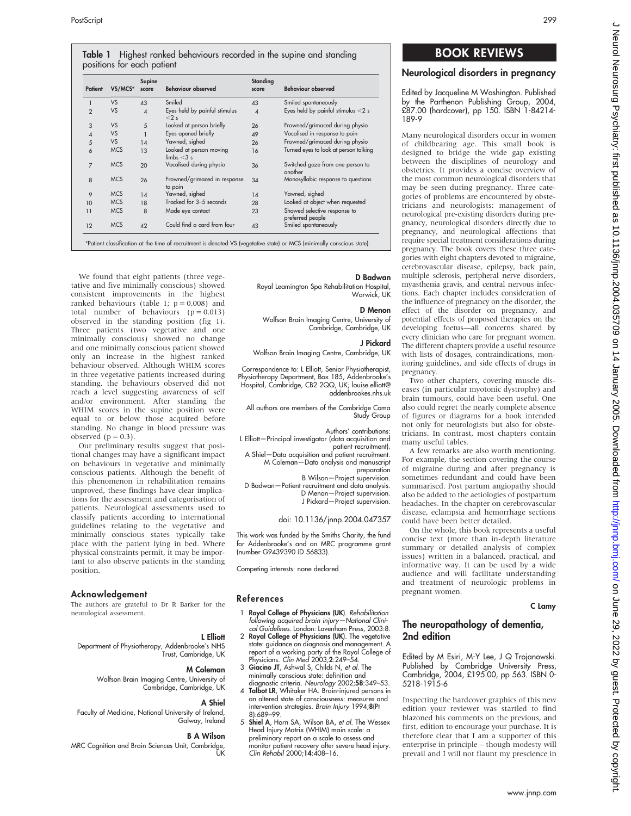| Table 1 Highest ranked behaviours recorded in the supine and standing |  |  |  |
|-----------------------------------------------------------------------|--|--|--|
| positions for each patient                                            |  |  |  |

| Patient        | VS/MCS*    | Supine<br>score | <b>Behaviour observed</b>                         | Standing<br>score | <b>Behaviour observed</b>                        |
|----------------|------------|-----------------|---------------------------------------------------|-------------------|--------------------------------------------------|
|                | <b>VS</b>  | 43              | Smiled                                            | 43                | Smiled spontaneously                             |
| $\overline{2}$ | <b>VS</b>  | $\overline{4}$  | Eyes held by painful stimulus<br>$< 2$ s          | $\overline{A}$    | Eyes held by painful stimulus $<$ 2 s            |
| 3              | <b>VS</b>  | 5               | Looked at person briefly                          | 26                | Frowned/grimaced during physio                   |
| 4              | <b>VS</b>  |                 | Eyes opened briefly                               | 49                | Vocalised in response to pain                    |
| 5              | <b>VS</b>  | 14              | Yawned, sighed                                    | 26                | Frowned/grimaced during physio                   |
| 6              | <b>MCS</b> | 13              | Looked at person moving<br>$\mathsf{limbs} < 3$ s | 16                | Turned eyes to look at person talking            |
| 7              | <b>MCS</b> | 20              | Vocalised during physio                           | 36                | Switched gaze from one person to<br>another      |
| 8              | <b>MCS</b> | 26              | Frowned/grimaced in response<br>to pain           | 34                | Monosyllabic response to questions               |
| 9              | <b>MCS</b> | 14              | Yawned, sighed                                    | 14                | Yawned, sighed                                   |
| 10             | <b>MCS</b> | 18              | Tracked for 3-5 seconds                           | 28                | Looked at object when requested                  |
| 11             | <b>MCS</b> | 8               | Made eye contact                                  | 23                | Showed selective response to<br>preferred people |
| 12             | <b>MCS</b> | 42              | Could find a card from four                       | 43                | Smiled spontaneously                             |

\*Patient classification at the time of recruitment is denoted VS (vegetative state) or MCS (minimally conscious state).

We found that eight patients (three vegetative and five minimally conscious) showed consistent improvements in the highest ranked behaviours (table 1;  $p = 0.008$ ) and total number of behaviours  $(p = 0.013)$ observed in the standing position (fig 1). Three patients (two vegetative and one minimally conscious) showed no change and one minimally conscious patient showed only an increase in the highest ranked behaviour observed. Although WHIM scores in three vegetative patients increased during standing, the behaviours observed did not reach a level suggesting awareness of self and/or environment. After standing the WHIM scores in the supine position were equal to or below those acquired before standing. No change in blood pressure was

Our preliminary results suggest that positional changes may have a significant impact on behaviours in vegetative and minimally conscious patients. Although the benefit of this phenomenon in rehabilitation remains unproved, these findings have clear implications for the assessment and categorisation of patients. Neurological assessments used to classify patients according to international guidelines relating to the vegetative and minimally conscious states typically take place with the patient lying in bed. Where physical constraints permit, it may be important to also observe patients in the standing

The authors are grateful to Dr R Barker for the

Department of Physiotherapy, Addenbrooke's NHS

Faculty of Medicine, National University of Ireland,

MRC Cognition and Brain Sciences Unit, Cambridge,

Wolfson Brain Imaging Centre, University of

observed  $(p = 0.3)$ .

position.

Acknowledgement

neurological assessment.

# D Badwan

Royal Leamington Spa Rehabilitation Hospital, Warwick, UK

#### D Menon

Wolfson Brain Imaging Centre, University of Cambridge, Cambridge, UK

#### J Pickard

Wolfson Brain Imaging Centre, Cambridge, UK

Correspondence to: L Elliott, Senior Physiotherapist, Physiotherapy Department, Box 185, Addenbrooke's Hospital, Cambridge, CB2 2QQ, UK; louise.elliott@ addenbrookes.nhs.uk

All authors are members of the Cambridge Coma Study Group

Authors' contributions: L Elliott—Principal investigator (data acquisition and patient recruitment). A Shiel—Data acquisition and patient recruitment. M Coleman—Data analysis and manuscript preparation B Wilson—Project supervision.

D Badwan—Patient recruitment and data analysis. D Menon—Project supervision. J Pickard—Project supervision.

# doi: 10.1136/jnnp.2004.047357

This work was funded by the Smiths Charity, the fund for Addenbrooke's and an MRC programme grant (number G9439390 ID 56833).

Competing interests: none declared

## References

L Elliott

A Shiel

ŭκ

Galway, Ireland B A Wilson

Trust, Cambridge, UK M Coleman

Cambridge, Cambridge, UK

- 1 Royal College of Physicians (UK). Rehabilitation following acquired brain injury—National Clini-cal Guidelines. London: Lavenham Press, 2003:8.
- 2 Royal College of Physicians (UK). The vegetative state: guidance on diagnosis and management. A report of a working party of the Royal College of Physicians. Clin Med 2003;2:249–54.
- 3 Giacino JT, Ashwal S, Childs N, et al. The minimally conscious state: definition and
- diagnostic criteria. Neurology 2002;58:349–53. 4 Talbot LR, Whitaker HA. Brain-injured persons in an altered state of consciousness: measures and intervention strategies. Brain Injury 1994;8(Pt 8):689–99.
- 5 Shiel A, Horn SA, Wilson BA, et al. The Wessex Head Injury Matrix (WHIM) main scale: a preliminary report on a scale to assess and monitor patient recovery after severe head injury. Clin Rehabil 2000;14:408–16.

# BOOK REVIEWS

# Neurological disorders in pregnancy

Edited by Jacqueline M Washington. Published by the Parthenon Publishing Group, 2004, £87.00 (hardcover), pp 150. ISBN 1-84214- 189-9

Many neurological disorders occur in women of childbearing age. This small book is designed to bridge the wide gap existing between the disciplines of neurology and obstetrics. It provides a concise overview of the most common neurological disorders that may be seen during pregnancy. Three categories of problems are encountered by obstetricians and neurologists: management of neurological pre-existing disorders during pregnancy, neurological disorders directly due to pregnancy, and neurological affections that require special treatment considerations during pregnancy. The book covers these three categories with eight chapters devoted to migraine, cerebrovascular disease, epilepsy, back pain, multiple sclerosis, peripheral nerve disorders, myasthenia gravis, and central nervous infections. Each chapter includes consideration of the influence of pregnancy on the disorder, the effect of the disorder on pregnancy, and potential effects of proposed therapies on the developing foetus—all concerns shared by every clinician who care for pregnant women. The different chapters provide a useful resource with lists of dosages, contraindications, monitoring guidelines, and side effects of drugs in pregnancy.

Two other chapters, covering muscle diseases (in particular myotonic dystrophy) and brain tumours, could have been useful. One also could regret the nearly complete absence of figures or diagrams for a book intended not only for neurologists but also for obstetricians. In contrast, most chapters contain many useful tables.

A few remarks are also worth mentioning. For example, the section covering the course of migraine during and after pregnancy is sometimes redundant and could have been summarised. Post partum angiopathy should also be added to the aetiologies of postpartum headaches. In the chapter on cerebrovascular disease, eclampsia and hemorrhage sections could have been better detailed.

On the whole, this book represents a useful concise text (more than in-depth literature summary or detailed analysis of complex issues) written in a balanced, practical, and informative way. It can be used by a wide audience and will facilitate understanding and treatment of neurologic problems in pregnant women.

#### C Lamy

# The neuropathology of dementia, 2nd edition

Edited by M Esiri, M-Y Lee, J Q Trojanowski. Published by Cambridge University Press, Cambridge, 2004, £195.00, pp 563. ISBN 0- 5218-1915-6

Inspecting the hardcover graphics of this new edition your reviewer was startled to find blazoned his comments on the previous, and first, edition to encourage your purchase. It is therefore clear that I am a supporter of this enterprise in principle – though modesty will prevail and I will not flaunt my prescience in

## www.jnnp.com